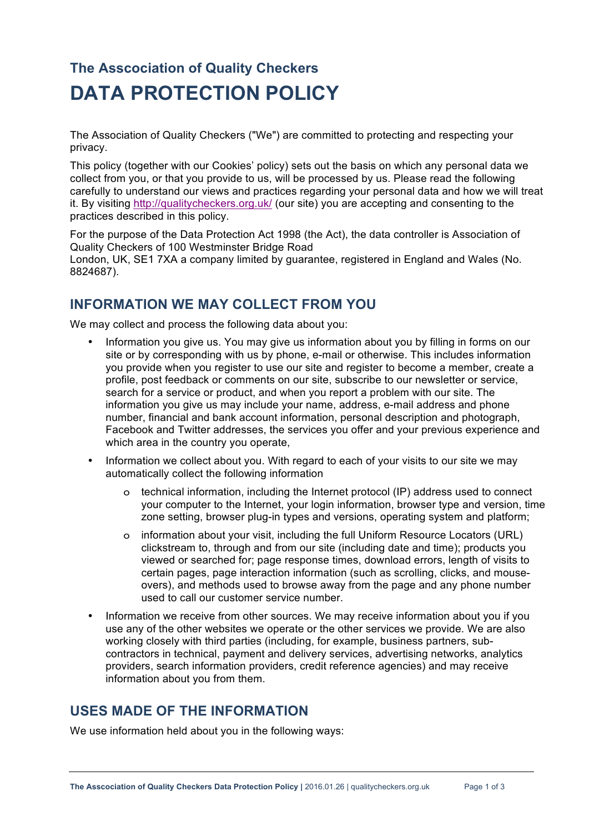# **The Asscociation of Quality Checkers DATA PROTECTION POLICY**

The Association of Quality Checkers ("We") are committed to protecting and respecting your privacy.

This policy (together with our Cookies' policy) sets out the basis on which any personal data we collect from you, or that you provide to us, will be processed by us. Please read the following carefully to understand our views and practices regarding your personal data and how we will treat it. By visiting http://qualitycheckers.org.uk/ (our site) you are accepting and consenting to the practices described in this policy.

For the purpose of the Data Protection Act 1998 (the Act), the data controller is Association of Quality Checkers of 100 Westminster Bridge Road

London, UK, SE1 7XA a company limited by guarantee, registered in England and Wales (No. 8824687).

#### **INFORMATION WE MAY COLLECT FROM YOU**

We may collect and process the following data about you:

- Information you give us. You may give us information about you by filling in forms on our site or by corresponding with us by phone, e-mail or otherwise. This includes information you provide when you register to use our site and register to become a member, create a profile, post feedback or comments on our site, subscribe to our newsletter or service, search for a service or product, and when you report a problem with our site. The information you give us may include your name, address, e-mail address and phone number, financial and bank account information, personal description and photograph, Facebook and Twitter addresses, the services you offer and your previous experience and which area in the country you operate,
- Information we collect about you. With regard to each of your visits to our site we may automatically collect the following information
	- o technical information, including the Internet protocol (IP) address used to connect your computer to the Internet, your login information, browser type and version, time zone setting, browser plug-in types and versions, operating system and platform;
	- o information about your visit, including the full Uniform Resource Locators (URL) clickstream to, through and from our site (including date and time); products you viewed or searched for; page response times, download errors, length of visits to certain pages, page interaction information (such as scrolling, clicks, and mouseovers), and methods used to browse away from the page and any phone number used to call our customer service number.
- Information we receive from other sources. We may receive information about you if you use any of the other websites we operate or the other services we provide. We are also working closely with third parties (including, for example, business partners, subcontractors in technical, payment and delivery services, advertising networks, analytics providers, search information providers, credit reference agencies) and may receive information about you from them.

#### **USES MADE OF THE INFORMATION**

We use information held about you in the following ways: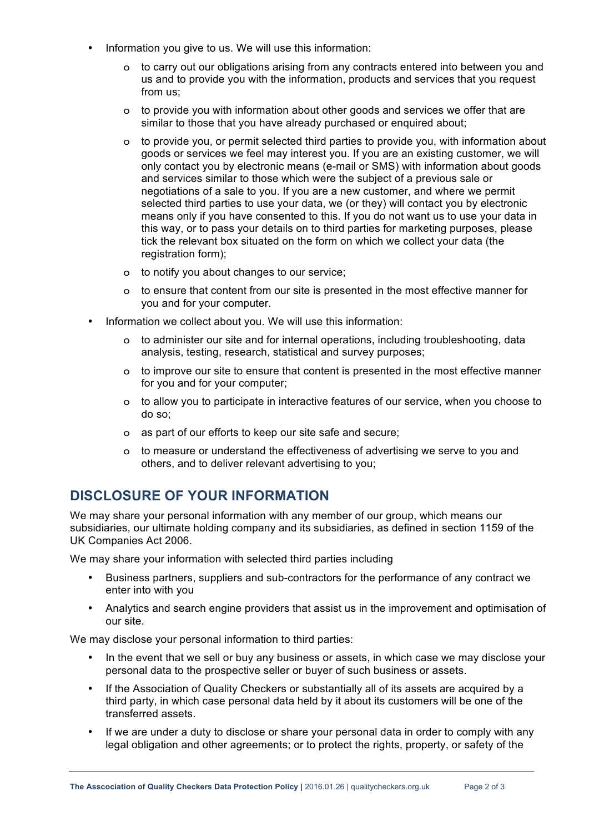- Information you give to us. We will use this information:
	- o to carry out our obligations arising from any contracts entered into between you and us and to provide you with the information, products and services that you request from us;
	- o to provide you with information about other goods and services we offer that are similar to those that you have already purchased or enquired about;
	- o to provide you, or permit selected third parties to provide you, with information about goods or services we feel may interest you. If you are an existing customer, we will only contact you by electronic means (e-mail or SMS) with information about goods and services similar to those which were the subject of a previous sale or negotiations of a sale to you. If you are a new customer, and where we permit selected third parties to use your data, we (or they) will contact you by electronic means only if you have consented to this. If you do not want us to use your data in this way, or to pass your details on to third parties for marketing purposes, please tick the relevant box situated on the form on which we collect your data (the registration form);
	- o to notify you about changes to our service;
	- o to ensure that content from our site is presented in the most effective manner for you and for your computer.
- Information we collect about you. We will use this information:
	- o to administer our site and for internal operations, including troubleshooting, data analysis, testing, research, statistical and survey purposes;
	- o to improve our site to ensure that content is presented in the most effective manner for you and for your computer;
	- o to allow you to participate in interactive features of our service, when you choose to do so;
	- o as part of our efforts to keep our site safe and secure;
	- o to measure or understand the effectiveness of advertising we serve to you and others, and to deliver relevant advertising to you;

## **DISCLOSURE OF YOUR INFORMATION**

We may share your personal information with any member of our group, which means our subsidiaries, our ultimate holding company and its subsidiaries, as defined in section 1159 of the UK Companies Act 2006.

We may share your information with selected third parties including

- Business partners, suppliers and sub-contractors for the performance of any contract we enter into with you
- Analytics and search engine providers that assist us in the improvement and optimisation of our site.

We may disclose your personal information to third parties:

- In the event that we sell or buy any business or assets, in which case we may disclose your personal data to the prospective seller or buyer of such business or assets.
- If the Association of Quality Checkers or substantially all of its assets are acquired by a third party, in which case personal data held by it about its customers will be one of the transferred assets.
- If we are under a duty to disclose or share your personal data in order to comply with any legal obligation and other agreements; or to protect the rights, property, or safety of the